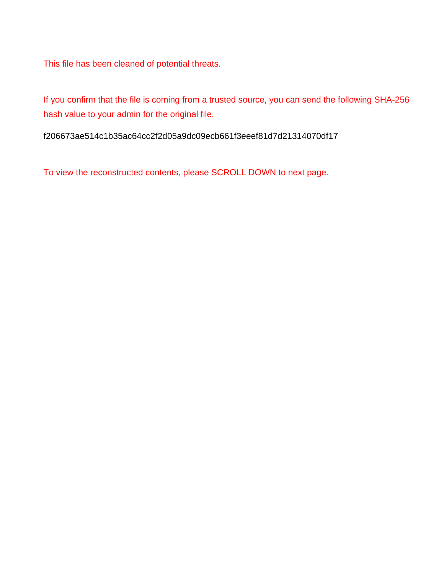This file has been cleaned of potential threats.

If you confirm that the file is coming from a trusted source, you can send the following SHA-256 hash value to your admin for the original file.

f206673ae514c1b35ac64cc2f2d05a9dc09ecb661f3eeef81d7d21314070df17

To view the reconstructed contents, please SCROLL DOWN to next page.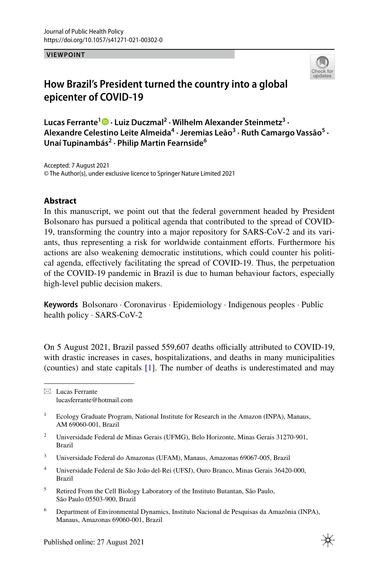**VIEWPOINT**



## **How Brazil's President turned the country into a global epicenter of COVID‑19**

**Lucas Ferrante<sup>1</sup> · Luiz Duczmal2 · Wilhelm Alexander Steinmetz3 ·**  Alexandre Celestino Leite Almeida<sup>4</sup> · Jeremias Leão<sup>3</sup> · Ruth Camargo Vassão<sup>5</sup> · **Unaí Tupinambás2 · Philip Martin Fearnside6**

Accepted: 7 August 2021 © The Author(s), under exclusive licence to Springer Nature Limited 2021

## **Abstract**

In this manuscript, we point out that the federal government headed by President Bolsonaro has pursued a political agenda that contributed to the spread of COVID-19, transforming the country into a major repository for SARS-CoV-2 and its variants, thus representing a risk for worldwide containment eforts. Furthermore his actions are also weakening democratic institutions, which could counter his political agenda, efectively facilitating the spread of COVID-19. Thus, the perpetuation of the COVID-19 pandemic in Brazil is due to human behaviour factors, especially high-level public decision makers.

**Keywords** Bolsonaro · Coronavirus · Epidemiology · Indigenous peoples · Public health policy · SARS-CoV-2

On 5 August 2021, Brazil passed 559,607 deaths officially attributed to COVID-19, with drastic increases in cases, hospitalizations, and deaths in many municipalities (counties) and state capitals [\[1](#page-9-0)]. The number of deaths is underestimated and may

- <sup>2</sup> Universidade Federal de Minas Gerais (UFMG), Belo Horizonte, Minas Gerais 31270-901, Brazil
- <sup>3</sup> Universidade Federal do Amazonas (UFAM), Manaus, Amazonas 69067-005, Brazil
- <sup>4</sup> Universidade Federal de São João del-Rei (UFSJ), Ouro Branco, Minas Gerais 36420-000, Brazil
- <sup>5</sup> Retired From the Cell Biology Laboratory of the Instituto Butantan, São Paulo, São Paulo 05503-900, Brazil
- <sup>6</sup> Department of Environmental Dynamics, Instituto Nacional de Pesquisas da Amazônia (INPA), Manaus, Amazonas 69060-001, Brazil

 $\boxtimes$  Lucas Ferrante lucasferrante@hotmail.com

<sup>&</sup>lt;sup>1</sup> Ecology Graduate Program, National Institute for Research in the Amazon (INPA), Manaus, AM 69060-001, Brazil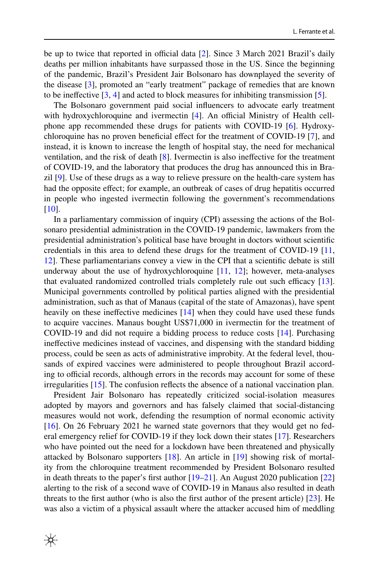be up to twice that reported in official data  $[2]$  $[2]$ . Since 3 March 2021 Brazil's daily deaths per million inhabitants have surpassed those in the US. Since the beginning of the pandemic, Brazil's President Jair Bolsonaro has downplayed the severity of the disease [[3\]](#page-9-2), promoted an "early treatment" package of remedies that are known to be inefective [[3,](#page-9-2) [4\]](#page-9-3) and acted to block measures for inhibiting transmission [\[5](#page-9-4)].

The Bolsonaro government paid social infuencers to advocate early treatment with hydroxychloroquine and ivermectin  $[4]$  $[4]$ . An official Ministry of Health cellphone app recommended these drugs for patients with COVID-19 [[6\]](#page-9-5). Hydroxychloroquine has no proven benefcial efect for the treatment of COVID-19 [\[7](#page-9-6)], and instead, it is known to increase the length of hospital stay, the need for mechanical ventilation, and the risk of death [\[8](#page-9-7)]. Ivermectin is also inefective for the treatment of COVID-19, and the laboratory that produces the drug has announced this in Brazil [[9\]](#page-9-8). Use of these drugs as a way to relieve pressure on the health-care system has had the opposite efect; for example, an outbreak of cases of drug hepatitis occurred in people who ingested ivermectin following the government's recommendations [\[10](#page-9-9)].

In a parliamentary commission of inquiry (CPI) assessing the actions of the Bolsonaro presidential administration in the COVID-19 pandemic, lawmakers from the presidential administration's political base have brought in doctors without scientifc credentials in this area to defend these drugs for the treatment of COVID-19 [[11,](#page-9-10) [12](#page-9-11)]. These parliamentarians convey a view in the CPI that a scientifc debate is still underway about the use of hydroxychloroquine  $[11, 12]$  $[11, 12]$  $[11, 12]$  $[11, 12]$ ; however, meta-analyses that evaluated randomized controlled trials completely rule out such efficacy [[13\]](#page-9-12). Municipal governments controlled by political parties aligned with the presidential administration, such as that of Manaus (capital of the state of Amazonas), have spent heavily on these ineffective medicines [\[14](#page-9-13)] when they could have used these funds to acquire vaccines. Manaus bought US\$71,000 in ivermectin for the treatment of COVID-19 and did not require a bidding process to reduce costs [[14\]](#page-9-13). Purchasing inefective medicines instead of vaccines, and dispensing with the standard bidding process, could be seen as acts of administrative improbity. At the federal level, thousands of expired vaccines were administered to people throughout Brazil according to official records, although errors in the records may account for some of these irregularities [\[15](#page-9-14)]. The confusion refects the absence of a national vaccination plan.

President Jair Bolsonaro has repeatedly criticized social-isolation measures adopted by mayors and governors and has falsely claimed that social-distancing measures would not work, defending the resumption of normal economic activity [\[16](#page-9-15)]. On 26 February 2021 he warned state governors that they would get no federal emergency relief for COVID-19 if they lock down their states [[17\]](#page-9-16). Researchers who have pointed out the need for a lockdown have been threatened and physically attacked by Bolsonaro supporters [[18\]](#page-9-17). An article in [[19\]](#page-9-18) showing risk of mortality from the chloroquine treatment recommended by President Bolsonaro resulted in death threats to the paper's frst author [[19–](#page-9-18)[21\]](#page-9-19). An August 2020 publication [\[22](#page-9-20)] alerting to the risk of a second wave of COVID-19 in Manaus also resulted in death threats to the frst author (who is also the frst author of the present article) [\[23](#page-9-21)]. He was also a victim of a physical assault where the attacker accused him of meddling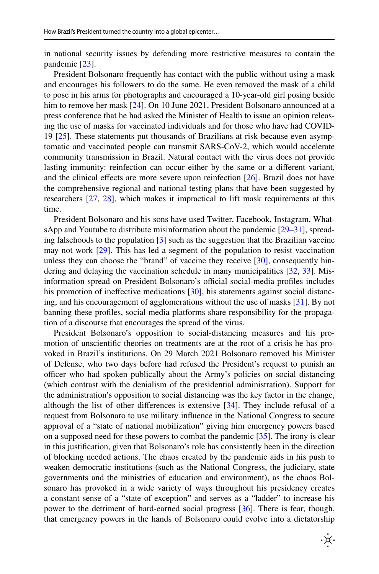in national security issues by defending more restrictive measures to contain the pandemic [[23\]](#page-9-21).

President Bolsonaro frequently has contact with the public without using a mask and encourages his followers to do the same. He even removed the mask of a child to pose in his arms for photographs and encouraged a 10-year-old girl posing beside him to remove her mask [[24\]](#page-10-0). On 10 June 2021, President Bolsonaro announced at a press conference that he had asked the Minister of Health to issue an opinion releasing the use of masks for vaccinated individuals and for those who have had COVID-19 [[25\]](#page-10-1). These statements put thousands of Brazilians at risk because even asymptomatic and vaccinated people can transmit SARS-CoV-2, which would accelerate community transmission in Brazil. Natural contact with the virus does not provide lasting immunity: reinfection can occur either by the same or a diferent variant, and the clinical effects are more severe upon reinfection  $[26]$  $[26]$ . Brazil does not have the comprehensive regional and national testing plans that have been suggested by researchers [[27,](#page-10-3) [28](#page-10-4)], which makes it impractical to lift mask requirements at this time.

President Bolsonaro and his sons have used Twitter, Facebook, Instagram, WhatsApp and Youtube to distribute misinformation about the pandemic [[29–](#page-10-5)[31\]](#page-10-6), spreading falsehoods to the population  $\lceil 3 \rceil$  such as the suggestion that the Brazilian vaccine may not work [[29\]](#page-10-5). This has led a segment of the population to resist vaccination unless they can choose the "brand" of vaccine they receive [[30\]](#page-10-7), consequently hindering and delaying the vaccination schedule in many municipalities [\[32](#page-10-8), [33\]](#page-10-9). Misinformation spread on President Bolsonaro's official social-media profiles includes his promotion of ineffective medications [[30\]](#page-10-7), his statements against social distancing, and his encouragement of agglomerations without the use of masks [\[31](#page-10-6)]. By not banning these profles, social media platforms share responsibility for the propagation of a discourse that encourages the spread of the virus.

President Bolsonaro's opposition to social-distancing measures and his promotion of unscientifc theories on treatments are at the root of a crisis he has provoked in Brazil's institutions. On 29 March 2021 Bolsonaro removed his Minister of Defense, who two days before had refused the President's request to punish an officer who had spoken publically about the Army's policies on social distancing (which contrast with the denialism of the presidential administration). Support for the administration's opposition to social distancing was the key factor in the change, although the list of other diferences is extensive [[34\]](#page-10-10). They include refusal of a request from Bolsonaro to use military infuence in the National Congress to secure approval of a "state of national mobilization" giving him emergency powers based on a supposed need for these powers to combat the pandemic [\[35](#page-10-11)]. The irony is clear in this justifcation, given that Bolsonaro's role has consistently been in the direction of blocking needed actions. The chaos created by the pandemic aids in his push to weaken democratic institutions (such as the National Congress, the judiciary, state governments and the ministries of education and environment), as the chaos Bolsonaro has provoked in a wide variety of ways throughout his presidency creates a constant sense of a "state of exception" and serves as a "ladder" to increase his power to the detriment of hard-earned social progress [\[36](#page-10-12)]. There is fear, though, that emergency powers in the hands of Bolsonaro could evolve into a dictatorship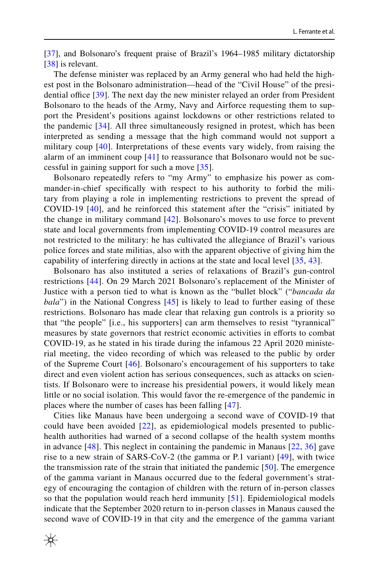[\[37](#page-10-13)], and Bolsonaro's frequent praise of Brazil's 1964–1985 military dictatorship [\[38](#page-10-14)] is relevant.

The defense minister was replaced by an Army general who had held the highest post in the Bolsonaro administration—head of the "Civil House" of the presidential office  $[39]$  $[39]$  $[39]$ . The next day the new minister relayed an order from President Bolsonaro to the heads of the Army, Navy and Airforce requesting them to support the President's positions against lockdowns or other restrictions related to the pandemic [[34](#page-10-10)]. All three simultaneously resigned in protest, which has been interpreted as sending a message that the high command would not support a military coup [[40\]](#page-10-16). Interpretations of these events vary widely, from raising the alarm of an imminent coup [[41](#page-10-17)] to reassurance that Bolsonaro would not be successful in gaining support for such a move [[35](#page-10-11)].

Bolsonaro repeatedly refers to "my Army" to emphasize his power as commander-in-chief specifcally with respect to his authority to forbid the military from playing a role in implementing restrictions to prevent the spread of COVID-19 [\[40](#page-10-16)], and he reinforced this statement after the "crisis" initiated by the change in military command [\[42\]](#page-10-18). Bolsonaro's moves to use force to prevent state and local governments from implementing COVID-19 control measures are not restricted to the military: he has cultivated the allegiance of Brazil's various police forces and state militias, also with the apparent objective of giving him the capability of interfering directly in actions at the state and local level [\[35](#page-10-11), [43](#page-10-19)].

Bolsonaro has also instituted a series of relaxations of Brazil's gun-control restrictions [[44](#page-10-20)]. On 29 March 2021 Bolsonaro's replacement of the Minister of Justice with a person tied to what is known as the "bullet block" ("*bancada da bala*") in the National Congress [[45\]](#page-10-21) is likely to lead to further easing of these restrictions. Bolsonaro has made clear that relaxing gun controls is a priority so that "the people" [i.e., his supporters] can arm themselves to resist "tyrannical" measures by state governors that restrict economic activities in eforts to combat COVID-19, as he stated in his tirade during the infamous 22 April 2020 ministerial meeting, the video recording of which was released to the public by order of the Supreme Court [[46](#page-10-22)]. Bolsonaro's encouragement of his supporters to take direct and even violent action has serious consequences, such as attacks on scientists. If Bolsonaro were to increase his presidential powers, it would likely mean little or no social isolation. This would favor the re-emergence of the pandemic in places where the number of cases has been falling [[47](#page-10-23)].

Cities like Manaus have been undergoing a second wave of COVID-19 that could have been avoided [[22](#page-9-20)], as epidemiological models presented to publichealth authorities had warned of a second collapse of the health system months in advance  $[48]$ . This neglect in containing the pandemic in Manaus  $[22, 36]$  $[22, 36]$  $[22, 36]$  $[22, 36]$  gave rise to a new strain of SARS-CoV-2 (the gamma or P.1 variant) [[49](#page-10-25)], with twice the transmission rate of the strain that initiated the pandemic [[50](#page-10-26)]. The emergence of the gamma variant in Manaus occurred due to the federal government's strategy of encouraging the contagion of children with the return of in-person classes so that the population would reach herd immunity [[51](#page-11-0)]. Epidemiological models indicate that the September 2020 return to in-person classes in Manaus caused the second wave of COVID-19 in that city and the emergence of the gamma variant

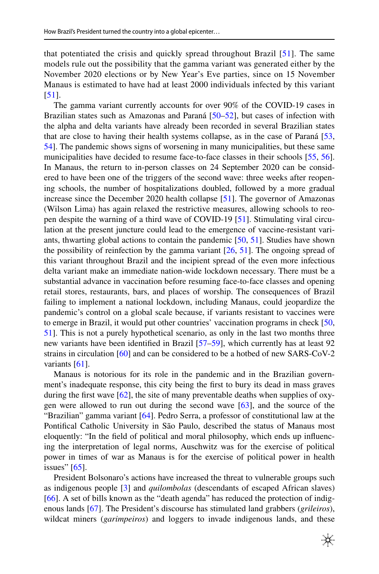that potentiated the crisis and quickly spread throughout Brazil [\[51\]](#page-11-0). The same models rule out the possibility that the gamma variant was generated either by the November 2020 elections or by New Year's Eve parties, since on 15 November Manaus is estimated to have had at least 2000 individuals infected by this variant [\[51\]](#page-11-0).

The gamma variant currently accounts for over 90% of the COVID-19 cases in Brazilian states such as Amazonas and Paraná [\[50](#page-10-26)[–52](#page-11-1)], but cases of infection with the alpha and delta variants have already been recorded in several Brazilian states that are close to having their health systems collapse, as in the case of Paraná [[53,](#page-11-2) [54](#page-11-3)]. The pandemic shows signs of worsening in many municipalities, but these same municipalities have decided to resume face-to-face classes in their schools [\[55](#page-11-4), [56\]](#page-11-5). In Manaus, the return to in-person classes on 24 September 2020 can be considered to have been one of the triggers of the second wave: three weeks after reopening schools, the number of hospitalizations doubled, followed by a more gradual increase since the December 2020 health collapse [[51\]](#page-11-0). The governor of Amazonas (Wilson Lima) has again relaxed the restrictive measures, allowing schools to reopen despite the warning of a third wave of COVID-19 [[51\]](#page-11-0). Stimulating viral circulation at the present juncture could lead to the emergence of vaccine-resistant variants, thwarting global actions to contain the pandemic [\[50](#page-10-26), [51\]](#page-11-0). Studies have shown the possibility of reinfection by the gamma variant  $[26, 51]$  $[26, 51]$  $[26, 51]$ . The ongoing spread of this variant throughout Brazil and the incipient spread of the even more infectious delta variant make an immediate nation-wide lockdown necessary. There must be a substantial advance in vaccination before resuming face-to-face classes and opening retail stores, restaurants, bars, and places of worship. The consequences of Brazil failing to implement a national lockdown, including Manaus, could jeopardize the pandemic's control on a global scale because, if variants resistant to vaccines were to emerge in Brazil, it would put other countries' vaccination programs in check [[50,](#page-10-26) [51](#page-11-0)]. This is not a purely hypothetical scenario, as only in the last two months three new variants have been identifed in Brazil [\[57](#page-11-6)[–59](#page-11-7)], which currently has at least 92 strains in circulation [\[60](#page-11-8)] and can be considered to be a hotbed of new SARS-CoV-2 variants [[61\]](#page-11-9).

Manaus is notorious for its role in the pandemic and in the Brazilian government's inadequate response, this city being the frst to bury its dead in mass graves during the first wave  $[62]$  $[62]$ , the site of many preventable deaths when supplies of oxygen were allowed to run out during the second wave [\[63](#page-11-11)], and the source of the "Brazilian" gamma variant [[64\]](#page-11-12). Pedro Serra, a professor of constitutional law at the Pontifcal Catholic University in São Paulo, described the status of Manaus most eloquently: "In the feld of political and moral philosophy, which ends up infuencing the interpretation of legal norms, Auschwitz was for the exercise of political power in times of war as Manaus is for the exercise of political power in health issues"  $[65]$  $[65]$ .

President Bolsonaro's actions have increased the threat to vulnerable groups such as indigenous people [\[3](#page-9-2)] and *quilombolas* (descendants of escaped African slaves) [\[66](#page-11-14)]. A set of bills known as the "death agenda" has reduced the protection of indigenous lands [\[67](#page-11-15)]. The President's discourse has stimulated land grabbers (*grileiros*), wildcat miners (*garimpeiros*) and loggers to invade indigenous lands, and these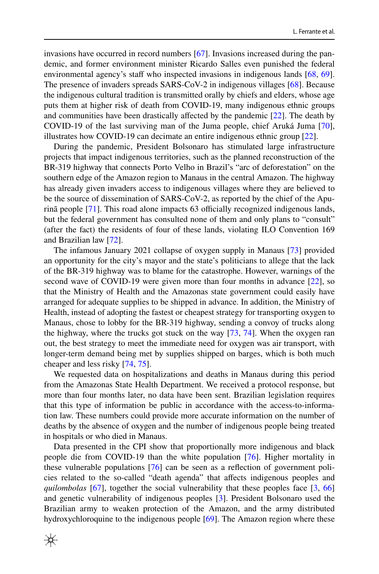invasions have occurred in record numbers  $[67]$  $[67]$ . Invasions increased during the pandemic, and former environment minister Ricardo Salles even punished the federal environmental agency's staff who inspected invasions in indigenous lands [[68,](#page-11-16) [69\]](#page-11-17). The presence of invaders spreads SARS-CoV-2 in indigenous villages [[68\]](#page-11-16). Because the indigenous cultural tradition is transmitted orally by chiefs and elders, whose age puts them at higher risk of death from COVID-19, many indigenous ethnic groups and communities have been drastically afected by the pandemic [[22\]](#page-9-20). The death by COVID-19 of the last surviving man of the Juma people, chief Aruká Juma [[70\]](#page-11-18), illustrates how COVID-19 can decimate an entire indigenous ethnic group [\[22](#page-9-20)].

During the pandemic, President Bolsonaro has stimulated large infrastructure projects that impact indigenous territories, such as the planned reconstruction of the BR-319 highway that connects Porto Velho in Brazil's "arc of deforestation" on the southern edge of the Amazon region to Manaus in the central Amazon. The highway has already given invaders access to indigenous villages where they are believed to be the source of dissemination of SARS-CoV-2, as reported by the chief of the Apurinã people  $[71]$  $[71]$ . This road alone impacts 63 officially recognized indigenous lands, but the federal government has consulted none of them and only plans to "consult" (after the fact) the residents of four of these lands, violating ILO Convention 169 and Brazilian law [\[72](#page-12-0)].

The infamous January 2021 collapse of oxygen supply in Manaus [[73\]](#page-12-1) provided an opportunity for the city's mayor and the state's politicians to allege that the lack of the BR-319 highway was to blame for the catastrophe. However, warnings of the second wave of COVID-19 were given more than four months in advance [\[22](#page-9-20)], so that the Ministry of Health and the Amazonas state government could easily have arranged for adequate supplies to be shipped in advance. In addition, the Ministry of Health, instead of adopting the fastest or cheapest strategy for transporting oxygen to Manaus, chose to lobby for the BR-319 highway, sending a convoy of trucks along the highway, where the trucks got stuck on the way [[73,](#page-12-1) [74](#page-12-2)]. When the oxygen ran out, the best strategy to meet the immediate need for oxygen was air transport, with longer-term demand being met by supplies shipped on barges, which is both much cheaper and less risky [[74,](#page-12-2) [75\]](#page-12-3).

We requested data on hospitalizations and deaths in Manaus during this period from the Amazonas State Health Department. We received a protocol response, but more than four months later, no data have been sent. Brazilian legislation requires that this type of information be public in accordance with the access-to-information law. These numbers could provide more accurate information on the number of deaths by the absence of oxygen and the number of indigenous people being treated in hospitals or who died in Manaus.

Data presented in the CPI show that proportionally more indigenous and black people die from COVID-19 than the white population [[76\]](#page-12-4). Higher mortality in these vulnerable populations [\[76](#page-12-4)] can be seen as a refection of government policies related to the so-called "death agenda" that afects indigenous peoples and *quilombolas* [[67\]](#page-11-15), together the social vulnerability that these peoples face [[3,](#page-9-2) [66](#page-11-14)] and genetic vulnerability of indigenous peoples [[3\]](#page-9-2). President Bolsonaro used the Brazilian army to weaken protection of the Amazon, and the army distributed hydroxychloroquine to the indigenous people [[69\]](#page-11-17). The Amazon region where these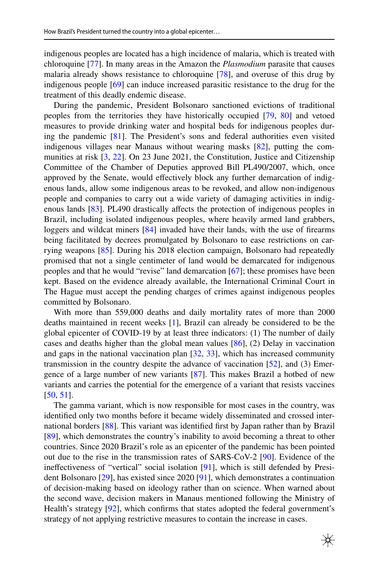indigenous peoples are located has a high incidence of malaria, which is treated with chloroquine [\[77](#page-12-5)]. In many areas in the Amazon the *Plasmodium* parasite that causes malaria already shows resistance to chloroquine [[78\]](#page-12-6), and overuse of this drug by indigenous people [[69\]](#page-11-17) can induce increased parasitic resistance to the drug for the treatment of this deadly endemic disease.

During the pandemic, President Bolsonaro sanctioned evictions of traditional peoples from the territories they have historically occupied [\[79](#page-12-7), [80](#page-12-8)] and vetoed measures to provide drinking water and hospital beds for indigenous peoples during the pandemic [\[81](#page-12-9)]. The President's sons and federal authorities even visited indigenous villages near Manaus without wearing masks [[82\]](#page-12-10), putting the communities at risk [\[3](#page-9-2), [22\]](#page-9-20). On 23 June 2021, the Constitution, Justice and Citizenship Committee of the Chamber of Deputies approved Bill PL490/2007, which, once approved by the Senate, would effectively block any further demarcation of indigenous lands, allow some indigenous areas to be revoked, and allow non-indigenous people and companies to carry out a wide variety of damaging activities in indig-enous lands [\[83](#page-12-11)]. PL490 drastically affects the protection of indigenous peoples in Brazil, including isolated indigenous peoples, where heavily armed land grabbers, loggers and wildcat miners [\[84](#page-12-12)] invaded have their lands, with the use of firearms being facilitated by decrees promulgated by Bolsonaro to ease restrictions on carrying weapons [[85\]](#page-12-13). During his 2018 election campaign, Bolsonaro had repeatedly promised that not a single centimeter of land would be demarcated for indigenous peoples and that he would "revise" land demarcation [\[67](#page-11-15)]; these promises have been kept. Based on the evidence already available, the International Criminal Court in The Hague must accept the pending charges of crimes against indigenous peoples committed by Bolsonaro.

With more than 559,000 deaths and daily mortality rates of more than 2000 deaths maintained in recent weeks [\[1](#page-9-0)], Brazil can already be considered to be the global epicenter of COVID-19 by at least three indicators: (1) The number of daily cases and deaths higher than the global mean values  $[86]$  $[86]$ ,  $(2)$  Delay in vaccination and gaps in the national vaccination plan  $[32, 33]$  $[32, 33]$  $[32, 33]$  $[32, 33]$  $[32, 33]$ , which has increased community transmission in the country despite the advance of vaccination  $[52]$  $[52]$ , and  $(3)$  Emergence of a large number of new variants [\[87](#page-12-15)]. This makes Brazil a hotbed of new variants and carries the potential for the emergence of a variant that resists vaccines [\[50](#page-10-26), [51](#page-11-0)].

The gamma variant, which is now responsible for most cases in the country, was identifed only two months before it became widely disseminated and crossed international borders [[88\]](#page-12-16). This variant was identifed frst by Japan rather than by Brazil [\[89](#page-12-17)], which demonstrates the country's inability to avoid becoming a threat to other countries. Since 2020 Brazil's role as an epicenter of the pandemic has been pointed out due to the rise in the transmission rates of SARS-CoV-2 [[90\]](#page-12-18). Evidence of the inefectiveness of "vertical" social isolation [\[91](#page-12-19)], which is still defended by President Bolsonaro [[29\]](#page-10-5), has existed since 2020 [\[91](#page-12-19)], which demonstrates a continuation of decision-making based on ideology rather than on science. When warned about the second wave, decision makers in Manaus mentioned following the Ministry of Health's strategy [\[92](#page-12-20)], which confirms that states adopted the federal government's strategy of not applying restrictive measures to contain the increase in cases.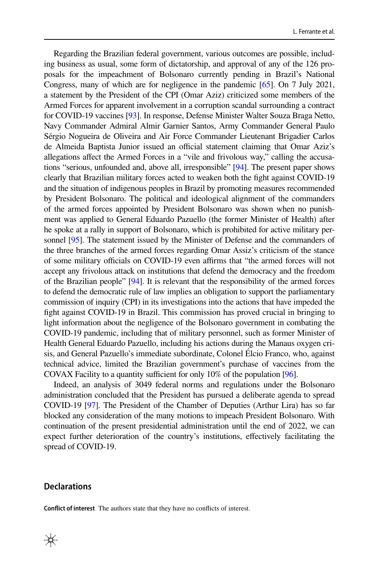Regarding the Brazilian federal government, various outcomes are possible, including business as usual, some form of dictatorship, and approval of any of the 126 proposals for the impeachment of Bolsonaro currently pending in Brazil's National Congress, many of which are for negligence in the pandemic [\[65\]](#page-11-13). On 7 July 2021, a statement by the President of the CPI (Omar Aziz) criticized some members of the Armed Forces for apparent involvement in a corruption scandal surrounding a contract for COVID-19 vaccines [\[93\]](#page-12-21). In response, Defense Minister Walter Souza Braga Netto, Navy Commander Admiral Almir Garnier Santos, Army Commander General Paulo Sérgio Nogueira de Oliveira and Air Force Commander Lieutenant Brigadier Carlos de Almeida Baptista Junior issued an official statement claiming that Omar Aziz's allegations afect the Armed Forces in a "vile and frivolous way," calling the accusations "serious, unfounded and, above all, irresponsible" [\[94](#page-13-0)]. The present paper shows clearly that Brazilian military forces acted to weaken both the fght against COVID-19 and the situation of indigenous peoples in Brazil by promoting measures recommended by President Bolsonaro. The political and ideological alignment of the commanders of the armed forces appointed by President Bolsonaro was shown when no punishment was applied to General Eduardo Pazuello (the former Minister of Health) after he spoke at a rally in support of Bolsonaro, which is prohibited for active military personnel [[95](#page-13-1)]. The statement issued by the Minister of Defense and the commanders of the three branches of the armed forces regarding Omar Assiz's criticism of the stance of some military officials on COVID-19 even affirms that "the armed forces will not accept any frivolous attack on institutions that defend the democracy and the freedom of the Brazilian people" [\[94\]](#page-13-0). It is relevant that the responsibility of the armed forces to defend the democratic rule of law implies an obligation to support the parliamentary commission of inquiry (CPI) in its investigations into the actions that have impeded the fght against COVID-19 in Brazil. This commission has proved crucial in bringing to light information about the negligence of the Bolsonaro government in combating the COVID-19 pandemic, including that of military personnel, such as former Minister of Health General Eduardo Pazuello, including his actions during the Manaus oxygen crisis, and General Pazuello's immediate subordinate, Colonel Élcio Franco, who, against technical advice, limited the Brazilian government's purchase of vaccines from the COVAX Facility to a quantity sufficient for only  $10\%$  of the population [[96](#page-13-2)].

Indeed, an analysis of 3049 federal norms and regulations under the Bolsonaro administration concluded that the President has pursued a deliberate agenda to spread COVID-19 [\[97\]](#page-13-3). The President of the Chamber of Deputies (Arthur Lira) has so far blocked any consideration of the many motions to impeach President Bolsonaro. With continuation of the present presidential administration until the end of 2022, we can expect further deterioration of the country's institutions, efectively facilitating the spread of COVID-19.

## **Declarations**

**Confict of interest** The authors state that they have no conficts of interest.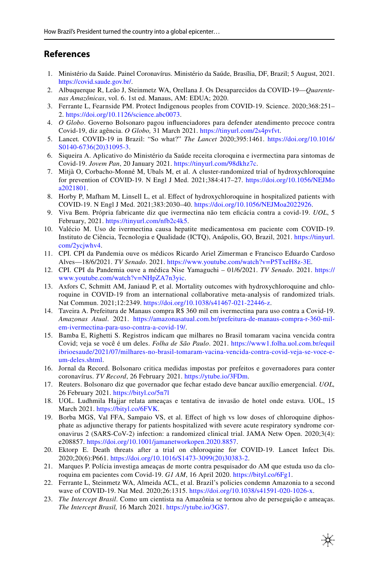## **References**

- <span id="page-9-0"></span>1. Ministério da Saúde. Painel Coronavírus. Ministério da Saúde, Brasília, DF, Brazil; 5 August, 2021. https://covid.saude.gov.br/.
- <span id="page-9-1"></span>2. Albuquerque R, Leão J, Steinmetz WA, Orellana J. Os Desaparecidos da COVID-19—*Quarentenas Amazônicas*, vol. 6. 1st ed. Manaus, AM: EDUA; 2020.
- <span id="page-9-2"></span>3. Ferrante L, Fearnside PM. Protect Indigenous peoples from COVID-19. Science. 2020;368:251– 2. https://doi.org/10.1126/science.abc0073.
- <span id="page-9-3"></span>4. *O Globo*. Governo Bolsonaro pagou infuenciadores para defender atendimento precoce contra Covid-19, diz agência. *O Globo,* 31 March 2021. https://tinyurl.com/2s4pvfvt.
- <span id="page-9-4"></span>5. Lancet*.* COVID-19 in Brazil: "So what?" *The Lancet* 2020;395:1461. https://doi.org/10.1016/ S0140-6736(20)31095-3.
- <span id="page-9-5"></span>6. Siqueira A. Aplicativo do Ministério da Saúde receita cloroquina e ivermectina para sintomas de Covid-19. *Jovem Pan*, 20 January 2021. https://tinyurl.com/98dkhz7c.
- <span id="page-9-6"></span>7. Mitjà O, Corbacho-Monné M, Ubals M, et al. A cluster-randomized trial of hydroxychloroquine for prevention of COVID-19. N Engl J Med. 2021;384:417–27. https://doi.org/10.1056/NEJMo a2021801.
- <span id="page-9-7"></span>8. Horby P, Mafham M, Linsell L, et al. Efect of hydroxychloroquine in hospitalized patients with COVID-19. N Engl J Med. 2021;383:2030–40. https://doi.org/10.1056/NEJMoa2022926.
- <span id="page-9-8"></span>9. Viva Bem. Própria fabricante diz que ivermectina não tem efcácia contra a covid-19. *UOL*, 5 February, 2021. https://tinyurl.com/nfb2c4k5.
- <span id="page-9-9"></span>10. Valécio M. Uso de ivermectina causa hepatite medicamentosa em paciente com COVID-19. Instituto de Ciência, Tecnologia e Qualidade (ICTQ), Anápolis, GO, Brazil, 2021. https://tinyurl. com/2ycjwhv4.
- <span id="page-9-10"></span>11. CPI. CPI da Pandemia ouve os médicos Ricardo Ariel Zimerman e Francisco Eduardo Cardoso Alves—18/6/2021. *TV Senado*. 2021. https://www.youtube.com/watch?v=P5TxeH8z-3E.
- <span id="page-9-11"></span>12. CPI. CPI da Pandemia ouve a médica Nise Yamaguchi – 01/6/2021. *TV Senado*. 2021. https:// www.youtube.com/watch?v=NHpZA7n3yic.
- <span id="page-9-12"></span>13. Axfors C, Schmitt AM, Janiaud P, et al. Mortality outcomes with hydroxychloroquine and chloroquine in COVID-19 from an international collaborative meta-analysis of randomized trials. Nat Commun. 2021;12:2349. https://doi.org/10.1038/s41467-021-22446-z.
- <span id="page-9-13"></span>14. Taveira A. Prefeitura de Manaus compra R\$ 360 mil em ivermectina para uso contra a Covid-19. *Amazonas Atual*. 2021. https://amazonasatual.com.br/prefeitura-de-manaus-compra-r-360-milem-ivermectina-para-uso-contra-a-covid-19/.
- <span id="page-9-14"></span>15. Bamba E, Righetti S. Registros indicam que milhares no Brasil tomaram vacina vencida contra Covid; veja se você é um deles. *Folha de São Paulo*. 2021. https://www1.folha.uol.com.br/equil ibrioesaude/2021/07/milhares-no-brasil-tomaram-vacina-vencida-contra-covid-veja-se-voce-eum-deles.shtml.
- <span id="page-9-15"></span>16. Jornal da Record. Bolsonaro critica medidas impostas por prefeitos e governadores para conter coronavírus. *TV Record*, 26 February 2021. https://ytube.io/3FDm.
- <span id="page-9-16"></span>17. Reuters. Bolsonaro diz que governador que fechar estado deve bancar auxílio emergencial. *UOL,* 26 February 2021. https://bityl.co/5n7l
- <span id="page-9-17"></span>18. UOL. Ludhmila Hajjar relata ameaças e tentativa de invasão de hotel onde estava. UOL, 15 March 2021. https://bityl.co/6FVK.
- <span id="page-9-18"></span>19. Borba MGS, Val FFA, Sampaio VS, et al. Efect of high vs low doses of chloroquine diphosphate as adjunctive therapy for patients hospitalized with severe acute respiratory syndrome coronavirus 2 (SARS-CoV-2) infection: a randomized clinical trial. JAMA Netw Open. 2020;3(4): e208857. https://doi.org/10.1001/jamanetworkopen.2020.8857.
- 20. Ektorp E. Death threats after a trial on chloroquine for COVID-19. Lancet Infect Dis. 2020;20(6):P661. https://doi.org/10.1016/S1473-3099(20)30383-2.
- <span id="page-9-19"></span>21. Marques P. Polícia investiga ameaças de morte contra pesquisador do AM que estuda uso da cloroquina em pacientes com Covid-19. *G1 AM*, 16 April 2020. https://bityl.co/6Fg1.
- <span id="page-9-20"></span>22. Ferrante L, Steinmetz WA, Almeida ACL, et al. Brazil's policies condemn Amazonia to a second wave of COVID-19. Nat Med. 2020;26:1315. https://doi.org/10.1038/s41591-020-1026-x.
- <span id="page-9-21"></span>23. *The Intercept Brasil*. Como um cientista na Amazônia se tornou alvo de perseguição e ameaças. *The Intercept Brasil,* 16 March 2021. https://ytube.io/3GS7.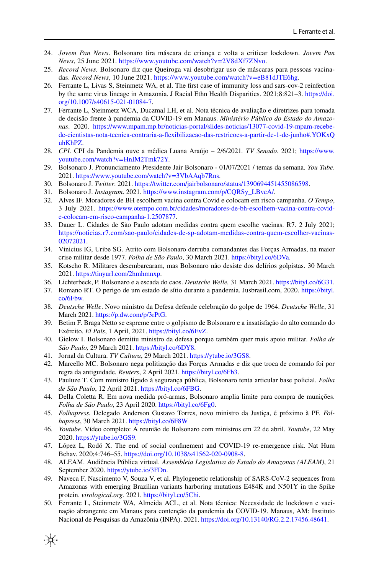- <span id="page-10-0"></span>24. *Jovem Pan News*. Bolsonaro tira máscara de criança e volta a criticar lockdown. *Jovem Pan News*, 25 June 2021. https://www.youtube.com/watch?v=2V8dXf7ZNvo.
- <span id="page-10-1"></span>25. *Record News.* Bolsonaro diz que Queiroga vai desobrigar uso de máscaras para pessoas vacinadas. *Record News*, 10 June 2021. https://www.youtube.com/watch?v=eB81dJTE6hg.
- <span id="page-10-2"></span>26. Ferrante L, Livas S, Steinmetz WA, et al. The frst case of immunity loss and sars-cov-2 reinfection by the same virus lineage in Amazonia. J Racial Ethn Health Disparities. 2021;8:821–3. https://doi. org/10.1007/s40615-021-01084-7.
- <span id="page-10-3"></span>27. Ferrante L, Steinmetz WCA, Duczmal LH, et al. Nota técnica de avaliação e diretrizes para tomada de decisão frente à pandemia da COVID-19 em Manaus. *Ministério Público do Estado do Amazonas*. 2020. https://www.mpam.mp.br/noticias-portal/slides-noticias/13077-covid-19-mpam-recebede-cientistas-nota-tecnica-contraria-a-fexibilizacao-das-restricoes-a-partir-de-1-de-junho#.YOKxQ uhKhPZ.
- <span id="page-10-4"></span>28. *CPI.* CPI da Pandemia ouve a médica Luana Araújo – 2/6/2021*. TV Senado*. 2021; https://www. youtube.com/watch?v=HnIM2Tmk72Y.
- <span id="page-10-5"></span>29. Bolsonaro J. Pronunciamento Presidente Jair Bolsonaro - 01/07/2021 / temas da semana. *You Tube*. 2021. https://www.youtube.com/watch?v=3VbAAqb7Rns.
- <span id="page-10-7"></span>30. Bolsonaro J. *Twitter*. 2021. https://twitter.com/jairbolsonaro/status/1390694451455086598.
- <span id="page-10-6"></span>31. Bolsonaro J. *Instagram*. 2021. https://www.instagram.com/p/CQRSy\_LBveA/.
- <span id="page-10-8"></span>32. Alves IF. Moradores de BH escolhem vacina contra Covid e colocam em risco campanha. *O Tempo*, 3 July 2021. https://www.otempo.com.br/cidades/moradores-de-bh-escolhem-vacina-contra-covide-colocam-em-risco-campanha-1.2507877.
- <span id="page-10-9"></span>33. Dauer L. Cidades de São Paulo adotam medidas contra quem escolhe vacinas. R7. 2 July 2021; https://noticias.r7.com/sao-paulo/cidades-de-sp-adotam-medidas-contra-quem-escolher-vacinas-02072021.
- <span id="page-10-10"></span>34. Vinicius IG, Uribe SG. Atrito com Bolsonaro derruba comandantes das Forças Armadas, na maior crise militar desde 1977. *Folha de São Paulo*, 30 March 2021. https://bityl.co/6DVa.
- <span id="page-10-11"></span>35. Kotscho R. Militares desembarcaram, mas Bolsonaro não desiste dos delírios golpistas. 30 March 2021. https://tinyurl.com/2hmhmnxp.
- <span id="page-10-12"></span>36. Lichterbeck, P. Bolsonaro e a escada do caos. *Deutsche Welle,* 31 March 2021. https://bityl.co/6G31.
- <span id="page-10-13"></span>37. Romano RT. O perigo de um estado de sítio durante a pandemia. Jusbrasil.com, 2020. https://bityl. co/6Fbw.
- <span id="page-10-14"></span>38. *Deutsche Welle*. Novo ministro da Defesa defende celebração do golpe de 1964. *Deutsche Welle*, 31 March 2021. https://p.dw.com/p/3rPtG.
- <span id="page-10-15"></span>39. Betim F. Braga Netto se espreme entre o golpismo de Bolsonaro e a insatisfação do alto comando do Exército. *El País*, 1 April, 2021. https://bityl.co/6EvZ.
- <span id="page-10-16"></span>40. Gielow I. Bolsonaro demitiu ministro da defesa porque também quer mais apoio militar. *Folha de São Paulo,* 29 March 2021. https://bityl.co/6DY8.
- <span id="page-10-17"></span>41. Jornal da Cultura. *TV Cultura*, 29 March 2021. https://ytube.io/3GS8.
- <span id="page-10-18"></span>42. Marcello MC. Bolsonaro nega politização das Forças Armadas e diz que troca de comando foi por regra da antiguidade*. Reuters*, 2 April 2021. https://bityl.co/6Fb3.
- <span id="page-10-19"></span>43. Pauluze T. Com ministro ligado à segurança pública, Bolsonaro tenta articular base policial. *Folha de São Paulo*, 12 April 2021. https://bityl.co/6FBG.
- <span id="page-10-20"></span>44. Della Coletta R. Em nova medida pró-armas, Bolsonaro amplia limite para compra de munições. *Folha de São Paulo*, 23 April 2020. https://bityl.co/6Fg0.
- <span id="page-10-21"></span>45. *Folhapress.* Delegado Anderson Gustavo Torres, novo ministro da Justiça, é próximo à PF. *Folhapress*, 30 March 2021. https://bityl.co/6F8W
- <span id="page-10-22"></span>46. *Youtube*. Vídeo completo: A reunião de Bolsonaro com ministros em 22 de abril. *Youtube*, 22 May 2020. https://ytube.io/3GS9.
- <span id="page-10-23"></span>47. López L, Rodó X. The end of social confnement and COVID-19 re-emergence risk. Nat Hum Behav. 2020;4:746–55. https://doi.org/10.1038/s41562-020-0908-8.
- <span id="page-10-24"></span>48. ALEAM. Audiência Pública virtual. *Assembleia Legislativa do Estado do Amazonas (ALEAM)*, 21 September 2020. https://ytube.io/3FDn.
- <span id="page-10-25"></span>49. Naveca F, Nascimento V, Souza V, et al. Phylogenetic relationship of SARS-CoV-2 sequences from Amazonas with emerging Brazilian variants harboring mutations E484K and N501Y in the Spike protein. *virological.org.* 2021. https://bityl.co/5Chi.
- <span id="page-10-26"></span>50. Ferrante L, Steinmetz WA, Almeida ACL, et al. Nota técnica: Necessidade de lockdown e vacinação abrangente em Manaus para contenção da pandemia da COVID-19. Manaus, AM: Instituto Nacional de Pesquisas da Amazônia (INPA). 2021. https://doi.org/10.13140/RG.2.2.17456.48641.

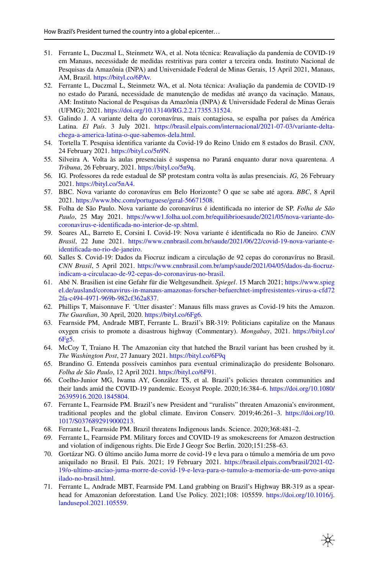- <span id="page-11-0"></span>51. Ferrante L, Duczmal L, Steinmetz WA, et al. Nota técnica: Reavaliação da pandemia de COVID-19 em Manaus, necessidade de medidas restritivas para conter a terceira onda. Instituto Nacional de Pesquisas da Amazônia (INPA) and Universidade Federal de Minas Gerais, 15 April 2021, Manaus, AM, Brazil. https://bityl.co/6PAv.
- <span id="page-11-1"></span>52. Ferrante L, Duczmal L, Steinmetz WA, et al. Nota técnica: Avaliação da pandemia de COVID-19 no estado do Paraná, necessidade de manutenção de medidas até avanço da vacinação. Manaus, AM: Instituto Nacional de Pesquisas da Amazônia (INPA) & Universidade Federal de Minas Gerais (UFMG); 2021. https://doi.org/10.13140/RG.2.2.17355.31524.
- <span id="page-11-2"></span>53. Galindo J. A variante delta do coronavírus, mais contagiosa, se espalha por países da América Latina. *El País*. 3 July 2021. https://brasil.elpais.com/internacional/2021-07-03/variante-deltachega-a-america-latina-o-que-sabemos-dela.html.
- <span id="page-11-3"></span>54. Tortella T. Pesquisa identifca variante da Covid-19 do Reino Unido em 8 estados do Brasil. *CNN*, 24 February 2021. https://bityl.co/5n9N.
- <span id="page-11-4"></span>55. Silveira A. Volta às aulas presenciais é suspensa no Paraná enquanto durar nova quarentena. *A Tribuna*, 26 February, 2021. https://bityl.co/5n9q.
- <span id="page-11-5"></span>56. IG. Professores da rede estadual de SP protestam contra volta às aulas presenciais. *IG,* 26 February 2021. https://bityl.co/5nA4.
- <span id="page-11-6"></span>57. BBC. Nova variante do coronavírus em Belo Horizonte? O que se sabe até agora. *BBC*, 8 April 2021. https://www.bbc.com/portuguese/geral-56671508.
- 58. Folha de São Paulo. Nova variante do coronavírus é identifcada no interior de SP. *Folha de São Paulo*, 25 May 2021. https://www1.folha.uol.com.br/equilibrioesaude/2021/05/nova-variante-docoronavirus-e-identifcada-no-interior-de-sp.shtml.
- <span id="page-11-7"></span>59. Soares AL, Barreto E, Corsini I. Covid-19: Nova variante é identifcada no Rio de Janeiro. *CNN Brasil*, 22 June 2021. https://www.cnnbrasil.com.br/saude/2021/06/22/covid-19-nova-variante-eidentifcada-no-rio-de-janeiro.
- <span id="page-11-8"></span>60. Salles S. Covid-19: Dados da Fiocruz indicam a circulação de 92 cepas do coronavírus no Brasil. *CNN Brasil*, 5 April 2021. https://www.cnnbrasil.com.br/amp/saude/2021/04/05/dados-da-focruzindicam-a-circulacao-de-92-cepas-do-coronavirus-no-brasil.
- <span id="page-11-9"></span>61. Abé N. Brasilien ist eine Gefahr für die Weltgesundheit. *Spiegel*. 15 March 2021; https://www.spieg el.de/ausland/coronavirus-in-manaus-amazonas-forscher-befuerchtet-impfresistentes-virus-a-cfd72 2fa-c494-4971-969b-982cf362a837.
- <span id="page-11-10"></span>62. Phillips T, Maisonnave F. 'Utter disaster': Manaus flls mass graves as Covid-19 hits the Amazon. *The Guardian*, 30 April, 2020. https://bityl.co/6Fg6.
- <span id="page-11-11"></span>63. Fearnside PM, Andrade MBT, Ferrante L. Brazil's BR-319: Politicians capitalize on the Manaus oxygen crisis to promote a disastrous highway (Commentary). *Mongabay*, 2021. https://bityl.co/ 6Fg5.
- <span id="page-11-12"></span>64. McCoy T, Traiano H. The Amazonian city that hatched the Brazil variant has been crushed by it. *The Washington Post*, 27 January 2021. https://bityl.co/6F9q
- <span id="page-11-13"></span>65. Brandino G. Entenda possíveis caminhos para eventual criminalização do presidente Bolsonaro. *Folha de São Paulo*, 12 April 2021. https://bityl.co/6F91.
- <span id="page-11-14"></span>66. Coelho-Junior MG, Iwama AY, González TS, et al. Brazil's policies threaten communities and their lands amid the COVID-19 pandemic. Ecosyst People. 2020;16:384–6. https://doi.org/10.1080/ 26395916.2020.1845804.
- <span id="page-11-15"></span>67. Ferrante L, Fearnside PM. Brazil's new President and "ruralists" threaten Amazonia's environment, traditional peoples and the global climate. Environ Conserv. 2019;46:261–3. https://doi.org/10. 1017/S0376892919000213.
- <span id="page-11-16"></span>68. Ferrante L, Fearnside PM. Brazil threatens Indigenous lands. Science. 2020;368:481–2.
- <span id="page-11-17"></span>69. Ferrante L, Fearnside PM. Military forces and COVID-19 as smokescreens for Amazon destruction and violation of indigenous rights. Die Erde J Geogr Soc Berlin. 2020;151:258–63.
- <span id="page-11-18"></span>70. Gortázar NG. O último ancião Juma morre de covid-19 e leva para o túmulo a memória de um povo aniquilado no Brasil. El País. 2021; 19 February 2021. https://brasil.elpais.com/brasil/2021-02- 19/o-ultimo-anciao-juma-morre-de-covid-19-e-leva-para-o-tumulo-a-memoria-de-um-povo-aniqu ilado-no-brasil.html.
- <span id="page-11-19"></span>71. Ferrante L, Andrade MBT, Fearnside PM. Land grabbing on Brazil's Highway BR-319 as a spearhead for Amazonian deforestation. Land Use Policy. 2021;108: 105559. https://doi.org/10.1016/j. landusepol.2021.105559.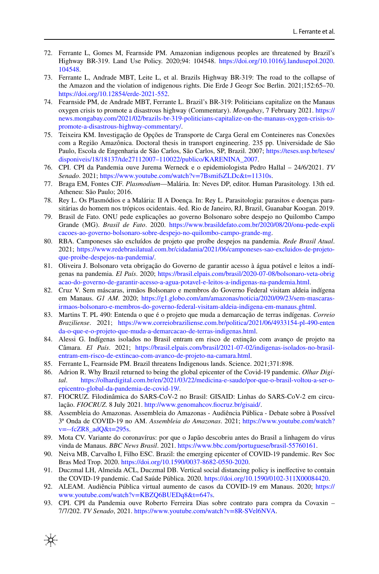- <span id="page-12-0"></span>72. Ferrante L, Gomes M, Fearnside PM. Amazonian indigenous peoples are threatened by Brazil's Highway BR-319. Land Use Policy. 2020;94: 104548. https://doi.org/10.1016/j.landusepol.2020. 104548.
- <span id="page-12-1"></span>73. Ferrante L, Andrade MBT, Leite L, et al. Brazils Highway BR-319: The road to the collapse of the Amazon and the violation of indigenous rights. Die Erde J Geogr Soc Berlin. 2021;152:65–70. https://doi.org/10.12854/erde-2021-552.
- <span id="page-12-2"></span>74. Fearnside PM, de Andrade MBT, Ferrante L. Brazil's BR-319: Politicians capitalize on the Manaus oxygen crisis to promote a disastrous highway (Commentary). *Mongabay*, 7 February 2021. https:// news.mongabay.com/2021/02/brazils-br-319-politicians-capitalize-on-the-manaus-oxygen-crisis-topromote-a-disastrous-highway-commentary/.
- <span id="page-12-3"></span>75. Teixeira KM. Investigação de Opções de Transporte de Carga Geral em Conteineres nas Conexões com a Região Amazônica. Doctoral thesis in transport engineering. 235 pp. Universidade de São Paulo, Escola de Engenharia de São Carlos, São Carlos, SP, Brazil. 2007; https://teses.usp.br/teses/ disponiveis/18/18137/tde27112007–110022/publico/KARENINA\_2007.
- <span id="page-12-4"></span>76. CPI. CPI da Pandemia ouve Jurema Werneck e o epidemiologista Pedro Hallal – 24/6/2021. *TV Senado*. 2021; https://www.youtube.com/watch?v=7BsmifsZLDc&t=11310s.
- <span id="page-12-5"></span>77. Braga EM, Fontes CJF. *Plasmodium*—Malária. In: Neves DP, editor. Human Parasitology. 13th ed. Atheneu: São Paulo; 2016.
- <span id="page-12-6"></span>78. Rey L. Os Plasmódios e a Malária: II A Doença. In: Rey L. Parasitologia: parasitos e doenças parasitárias do homem nos trópicos ocidentais. 4ed. Rio de Janeiro, RJ, Brazil, Guanabar Koogan. 2019.
- <span id="page-12-7"></span>79. Brasil de Fato. ONU pede explicações ao governo Bolsonaro sobre despejo no Quilombo Campo Grande (MG). *Brasil de Fato*. 2020. https://www.brasildefato.com.br/2020/08/20/onu-pede-expli cacoes-ao-governo-bolsonaro-sobre-despejo-no-quilombo-campo-grande-mg.
- <span id="page-12-8"></span>80. RBA. Camponeses são excluídos de projeto que proíbe despejos na pandemia. *Rede Brasil Atual*. 2021; https://www.redebrasilatual.com.br/cidadania/2021/06/camponeses-sao-excluidos-de-projetoque-proibe-despejos-na-pandemia/.
- <span id="page-12-9"></span>81. Oliveira J. Bolsonaro veta obrigação do Governo de garantir acesso à água potável e leitos a indígenas na pandemia. *El País*. 2020; https://brasil.elpais.com/brasil/2020-07-08/bolsonaro-veta-obrig acao-do-governo-de-garantir-acesso-a-agua-potavel-e-leitos-a-indigenas-na-pandemia.html.
- <span id="page-12-10"></span>82. Cruz V. Sem máscaras, irmãos Bolsonaro e membros do Governo Federal visitam aldeia indígena em Manaus. *G1 AM*. 2020; https://g1.globo.com/am/amazonas/noticia/2020/09/23/sem-mascarasirmaos-bolsonaro-e-membros-do-governo-federal-visitam-aldeia-indigena-em-manaus.ghtml.
- <span id="page-12-11"></span>83. Martins T. PL 490: Entenda o que é o projeto que muda a demarcação de terras indígenas. *Correio Braziliense*. 2021; https://www.correiobraziliense.com.br/politica/2021/06/4933154-pl-490-enten da-o-que-e-o-projeto-que-muda-a-demarcacao-de-terras-indigenas.html.
- <span id="page-12-12"></span>84. Alessi G. Indígenas isolados no Brasil entram em risco de extinção com avanço de projeto na Câmara. *El País*. 2021; https://brasil.elpais.com/brasil/2021-07-02/indigenas-isolados-no-brasilentram-em-risco-de-extincao-com-avanco-de-projeto-na-camara.html.
- <span id="page-12-13"></span>85. Ferrante L, Fearnside PM. Brazil threatens Indigenous lands. Science. 2021;371:898.
- <span id="page-12-14"></span>86. Adrion R. Why Brazil returned to being the global epicenter of the Covid-19 pandemic. *Olhar Digital*. https://olhardigital.com.br/en/2021/03/22/medicina-e-saude/por-que-o-brasil-voltou-a-ser-oepicentro-global-da-pandemia-de-covid-19/.
- <span id="page-12-15"></span>87. FIOCRUZ. Filodinâmica do SARS-CoV-2 no Brasil: GISAID: Linhas do SARS-CoV-2 em circulação. *FIOCRUZ*. 8 July 2021. http://www.genomahcov.focruz.br/gisaid/.
- <span id="page-12-16"></span>88. Assembleia do Amazonas. Assembleia do Amazonas - Audiência Pública - Debate sobre à Possível 3ª Onda de COVID-19 no AM. *Assembleia do Amazonas*. 2021; https://www.youtube.com/watch?  $v=-fcZR8$ <sub>\_ad</sub> $Q&t=295s$ .
- <span id="page-12-17"></span>89. Mota CV. Variante do coronavírus: por que o Japão descobriu antes do Brasil a linhagem do vírus vinda de Manaus. *BBC News Brasil*. 2021. https://www.bbc.com/portuguese/brasil-55760161.
- <span id="page-12-18"></span>90. Neiva MB, Carvalho I, Filho ESC. Brazil: the emerging epicenter of COVID-19 pandemic. Rev Soc Bras Med Trop. 2020. https://doi.org/10.1590/0037-8682-0550-2020.
- <span id="page-12-19"></span>91. Duczmal LH, Almeida ACL, Duczmal DB. Vertical social distancing policy is inefective to contain the COVID-19 pandemic. Cad Saúde Pública. 2020. https://doi.org/10.1590/0102-311X00084420.
- <span id="page-12-20"></span>92. ALEAM. Audiência Pública virtual aumento de casos da COVID-19 em Manaus. 2020; https:// www.youtube.com/watch?v=KBZQ6BUEDq8&t=647s.
- <span id="page-12-21"></span>93. CPI. CPI da Pandemia ouve Roberto Ferreira Dias sobre contrato para compra da Covaxin – 7/7/202. *TV Senado*, 2021. https://www.youtube.com/watch?v=8R-SVel6NVA.